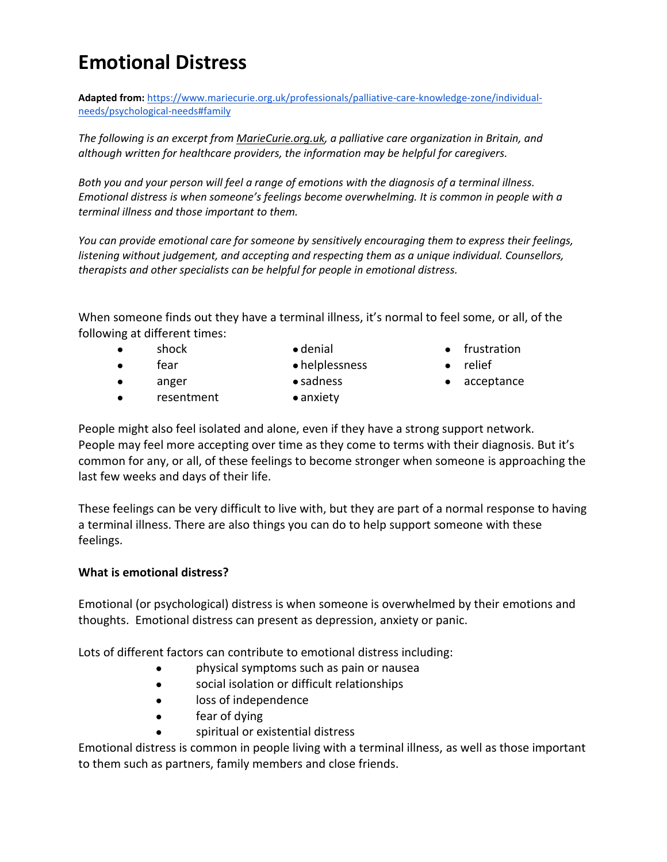## **Emotional Distress**

**Adapted from:** [https://www.mariecurie.org.uk/professionals/palliative-care-knowledge-zone/individual](https://www.mariecurie.org.uk/professionals/palliative-care-knowledge-zone/individual-needs/psychological-needs#family)[needs/psychological-needs#family](https://www.mariecurie.org.uk/professionals/palliative-care-knowledge-zone/individual-needs/psychological-needs#family)

*The following is an excerpt from [MarieCurie.org.uk,](https://www.mariecurie.org.uk/professionals/palliative-care-knowledge-zone/individual-needs/psychological-needs#family) a palliative care organization in Britain, and although written for healthcare providers, the information may be helpful for caregivers.*

*Both you and your person will feel a range of emotions with the diagnosis of a terminal illness. Emotional distress is when someone's feelings become overwhelming. It is common in people with a terminal illness and those important to them.*

*You can provide emotional care for someone by sensitively encouraging them to express their feelings, listening without judgement, and accepting and respecting them as a unique individual. Counsellors, therapists and other specialists can be helpful for people in emotional distress.*

When someone finds out they have a terminal illness, it's normal to feel some, or all, of the following at different times:

- shock
- fear
- denial
- helplessness
- anger
- resentment
- sadness ● anxiety

● frustration

- relief
- acceptance

People might also feel isolated and alone, even if they have a strong support network. People may feel more accepting over time as they come to terms with their diagnosis. But it's common for any, or all, of these feelings to become stronger when someone is approaching the last few weeks and days of their life.

These feelings can be very difficult to live with, but they are part of a normal response to having a terminal illness. There are also [things you can do to help support someone](https://www.mariecurie.org.uk/professionals/palliative-care-knowledge-zone/individual-needs/psychological-needs#provide) with these feelings.

## **What is emotional distress?**

Emotional (or psychological) distress is when someone is overwhelmed by their emotions and thoughts. Emotional distress can present as depression, anxiety or panic.

Lots of different factors can contribute to emotional distress including:

- physical symptoms such as [pain](https://www.mariecurie.org.uk/professionals/palliative-care-knowledge-zone/symptom-control/pain-control) or nausea
- social isolation or difficult relationships
- loss of independence
- fear of dying
- spiritual or existential distress

Emotional distress is common in people living with a terminal illness, as well as those important to them such as partners, family members and close friends.